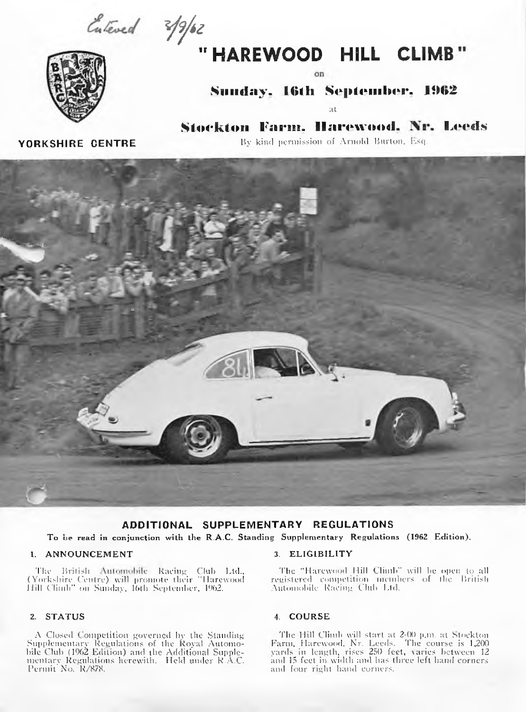Entered 3/9/62



 $\alpha$ n

# Sunday, 16th September, 1962

at.

Stockton Farm. Harewood. Nr. Leeds By kind permission of Arnold Burton, Esq.

**YORKSHIRE CENTRE** 



# ADDITIONAL SUPPLEMENTARY REGULATIONS

To be read in conjunction with the R.A.C. Standing Supplementary Regulations (1962 Edition).

### 1. ANNOUNCEMENT

The British Automobile Racing Club Ltd., (Yorkshire Centre) will promote their "Harewood<br>Hill Climb" on Sunday, 16th September, 1962.

## 2. STATUS

A Closed Competition governed by the Standing Supplementary Regulations of the Royal Automo-Corporationally Assumed B of the Royal Automobile<br>could compute the Additional Supplementary Regulations herewith. Held under R.A.C.<br>Permit No. R/878.

#### 3. ELIGIBILITY

The "Harewood Hill Climb" will be open to all registered competition incinbers of the British Automobile Racing Club Ltd.

### 4. COURSE

The Hill Climb will start at 2-00 p.m. at Stockton<br>Farm, Harewood, Nr. Leeds. The course is 1,200<br>yards in length, rises 250 feet, varies between 12 and 15 feet in width and has three left hand corners and four right hand corners.